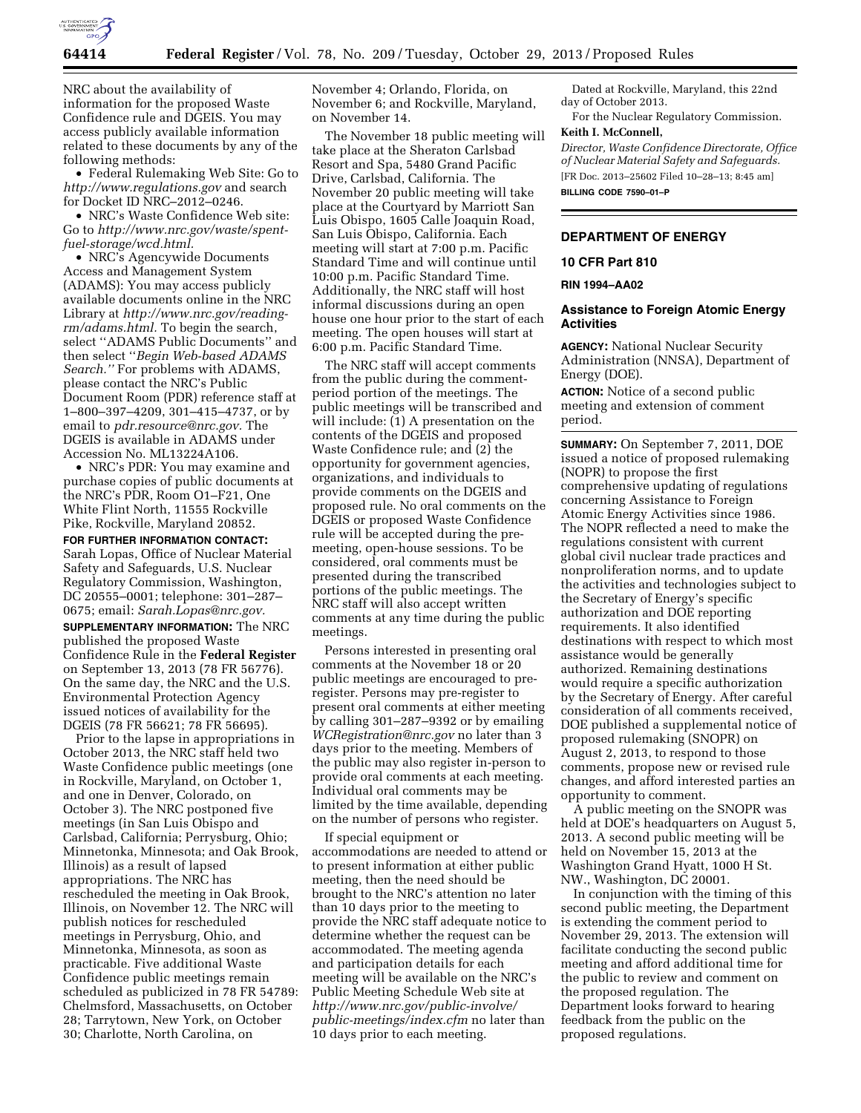

NRC about the availability of information for the proposed Waste Confidence rule and DGEIS. You may access publicly available information related to these documents by any of the following methods:

• Federal Rulemaking Web Site: Go to *<http://www.regulations.gov>* and search for Docket ID NRC–2012–0246.

• NRC's Waste Confidence Web site: Go to *[http://www.nrc.gov/waste/spent](http://www.nrc.gov/waste/spent-fuel-storage/wcd.html)[fuel-storage/wcd.html.](http://www.nrc.gov/waste/spent-fuel-storage/wcd.html)* 

• NRC's Agencywide Documents Access and Management System (ADAMS): You may access publicly available documents online in the NRC Library at *[http://www.nrc.gov/reading](http://www.nrc.gov/reading-rm/adams.html)[rm/adams.html.](http://www.nrc.gov/reading-rm/adams.html)* To begin the search, select ''ADAMS Public Documents'' and then select ''*Begin Web-based ADAMS Search.''* For problems with ADAMS, please contact the NRC's Public Document Room (PDR) reference staff at 1–800–397–4209, 301–415–4737, or by email to *[pdr.resource@nrc.gov.](mailto:pdr.resource@nrc.gov)* The DGEIS is available in ADAMS under Accession No. ML13224A106.

• NRC's PDR: You may examine and purchase copies of public documents at the NRC's PDR, Room O1–F21, One White Flint North, 11555 Rockville Pike, Rockville, Maryland 20852.

**FOR FURTHER INFORMATION CONTACT:**  Sarah Lopas, Office of Nuclear Material Safety and Safeguards, U.S. Nuclear Regulatory Commission, Washington, DC 20555–0001; telephone: 301–287– 0675; email: *[Sarah.Lopas@nrc.gov.](mailto:Sarah.Lopas@nrc.gov)* 

**SUPPLEMENTARY INFORMATION:** The NRC published the proposed Waste Confidence Rule in the **Federal Register**  on September 13, 2013 (78 FR 56776). On the same day, the NRC and the U.S. Environmental Protection Agency issued notices of availability for the DGEIS (78 FR 56621; 78 FR 56695).

Prior to the lapse in appropriations in October 2013, the NRC staff held two Waste Confidence public meetings (one in Rockville, Maryland, on October 1, and one in Denver, Colorado, on October 3). The NRC postponed five meetings (in San Luis Obispo and Carlsbad, California; Perrysburg, Ohio; Minnetonka, Minnesota; and Oak Brook, Illinois) as a result of lapsed appropriations. The NRC has rescheduled the meeting in Oak Brook, Illinois, on November 12. The NRC will publish notices for rescheduled meetings in Perrysburg, Ohio, and Minnetonka, Minnesota, as soon as practicable. Five additional Waste Confidence public meetings remain scheduled as publicized in 78 FR 54789: Chelmsford, Massachusetts, on October 28; Tarrytown, New York, on October 30; Charlotte, North Carolina, on

November 4; Orlando, Florida, on November 6; and Rockville, Maryland, on November 14.

The November 18 public meeting will take place at the Sheraton Carlsbad Resort and Spa, 5480 Grand Pacific Drive, Carlsbad, California. The November 20 public meeting will take place at the Courtyard by Marriott San Luis Obispo, 1605 Calle Joaquin Road, San Luis Obispo, California. Each meeting will start at 7:00 p.m. Pacific Standard Time and will continue until 10:00 p.m. Pacific Standard Time. Additionally, the NRC staff will host informal discussions during an open house one hour prior to the start of each meeting. The open houses will start at 6:00 p.m. Pacific Standard Time.

The NRC staff will accept comments from the public during the commentperiod portion of the meetings. The public meetings will be transcribed and will include: (1) A presentation on the contents of the DGEIS and proposed Waste Confidence rule; and (2) the opportunity for government agencies, organizations, and individuals to provide comments on the DGEIS and proposed rule. No oral comments on the DGEIS or proposed Waste Confidence rule will be accepted during the premeeting, open-house sessions. To be considered, oral comments must be presented during the transcribed portions of the public meetings. The NRC staff will also accept written comments at any time during the public meetings.

Persons interested in presenting oral comments at the November 18 or 20 public meetings are encouraged to preregister. Persons may pre-register to present oral comments at either meeting by calling 301–287–9392 or by emailing *[WCRegistration@nrc.gov](mailto:WCRegistration@nrc.gov)* no later than 3 days prior to the meeting. Members of the public may also register in-person to provide oral comments at each meeting. Individual oral comments may be limited by the time available, depending on the number of persons who register.

If special equipment or accommodations are needed to attend or to present information at either public meeting, then the need should be brought to the NRC's attention no later than 10 days prior to the meeting to provide the NRC staff adequate notice to determine whether the request can be accommodated. The meeting agenda and participation details for each meeting will be available on the NRC's Public Meeting Schedule Web site at *[http://www.nrc.gov/public-involve/](http://www.nrc.gov/public-involve/public-meetings/index.cfm) [public-meetings/index.cfm](http://www.nrc.gov/public-involve/public-meetings/index.cfm)* no later than 10 days prior to each meeting.

Dated at Rockville, Maryland, this 22nd day of October 2013.

For the Nuclear Regulatory Commission. **Keith I. McConnell,** 

*Director, Waste Confidence Directorate, Office of Nuclear Material Safety and Safeguards.*  [FR Doc. 2013–25602 Filed 10–28–13; 8:45 am] **BILLING CODE 7590–01–P** 

### **DEPARTMENT OF ENERGY**

#### **10 CFR Part 810**

## **RIN 1994–AA02**

## **Assistance to Foreign Atomic Energy Activities**

**AGENCY:** National Nuclear Security Administration (NNSA), Department of Energy (DOE).

**ACTION:** Notice of a second public meeting and extension of comment period.

**SUMMARY:** On September 7, 2011, DOE issued a notice of proposed rulemaking (NOPR) to propose the first comprehensive updating of regulations concerning Assistance to Foreign Atomic Energy Activities since 1986. The NOPR reflected a need to make the regulations consistent with current global civil nuclear trade practices and nonproliferation norms, and to update the activities and technologies subject to the Secretary of Energy's specific authorization and DOE reporting requirements. It also identified destinations with respect to which most assistance would be generally authorized. Remaining destinations would require a specific authorization by the Secretary of Energy. After careful consideration of all comments received, DOE published a supplemental notice of proposed rulemaking (SNOPR) on August 2, 2013, to respond to those comments, propose new or revised rule changes, and afford interested parties an opportunity to comment.

A public meeting on the SNOPR was held at DOE's headquarters on August 5, 2013. A second public meeting will be held on November 15, 2013 at the Washington Grand Hyatt, 1000 H St. NW., Washington, DC 20001.

In conjunction with the timing of this second public meeting, the Department is extending the comment period to November 29, 2013. The extension will facilitate conducting the second public meeting and afford additional time for the public to review and comment on the proposed regulation. The Department looks forward to hearing feedback from the public on the proposed regulations.